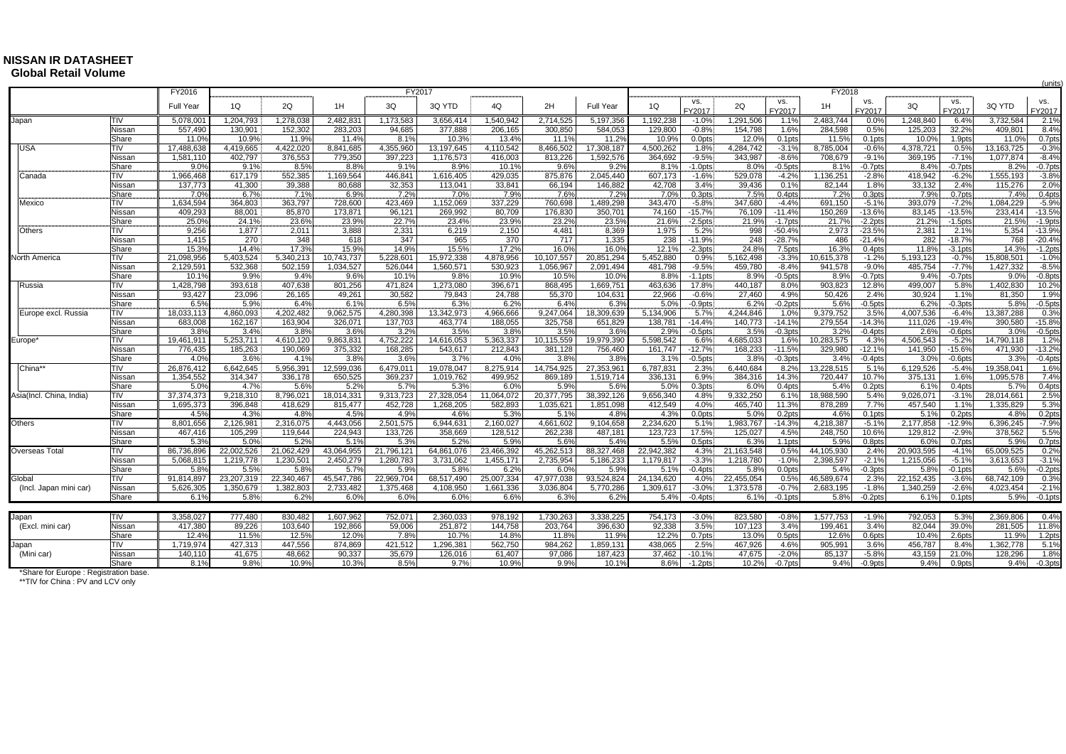## **NISSAN IR DATASHEET Global Retail Volume**

|                          |                 | FY2016                |                         |                   |                         | FY2017                  |                         |                         |                         |                         |                         |                    |                   |                    | FY2018                  |                    |                         |                        |                         | (units                |
|--------------------------|-----------------|-----------------------|-------------------------|-------------------|-------------------------|-------------------------|-------------------------|-------------------------|-------------------------|-------------------------|-------------------------|--------------------|-------------------|--------------------|-------------------------|--------------------|-------------------------|------------------------|-------------------------|-----------------------|
|                          |                 |                       | 1Q                      | 2Q                | 1H                      | 3Q                      |                         | 40                      | 2H                      | Full Year               |                         | VS.                |                   | VS.                |                         | VS.                |                         | VS.                    |                         | VS.                   |
|                          |                 | Full Year             |                         |                   |                         |                         | 3Q YTD                  |                         |                         |                         | 1Q                      | FY2017             | 2Q                | FY2017             | 1H                      | FY2017             | 3Q                      | FY2017                 | 3Q YTD                  | FY2017                |
| Japan                    | <b>TIV</b>      | 5,078,00              | 1,204,793               | 1,278,038         | 2,482,831               | 1,173,583               | 3,656,414               | 1,540,942               | 2,714,525               | 5,197,356               | ,192,238                | $-1.0%$            | 1,291,506         | 1.1%               | 2,483,744               | 0.0%               | 1,248,840               | 6.4%                   | 3,732,584               | 2.1%                  |
|                          | Nissar          | 557,49                | 130.901                 | 152,302           | 283.203                 | 94.685                  | 377,888                 | 206,165                 | 300.850                 | 584,053                 | 129,800                 | $-0.8%$            | 154,798           | 1.6%               | 284,598                 | 0.5%               | 125.203                 | 32.2%                  | 409.801                 | 8.4%                  |
|                          | Share           | 11.0%                 | 10.9%                   | 11.9%             | 11.4%                   | 8.1%                    | 10.3%                   | 13.4%                   | 11.1%                   | 11.2%                   | 10.9%                   | 0.0pts             | 12.0%             | $0.1$ pts          | 11.5%                   | 0.1 <sub>pts</sub> | 10.0%                   | 1.9pts                 | 11.0%                   | 0.7pts<br>$-0.3%$     |
| <b>USA</b>               | TIV<br>Nissar   | 17,488,63<br>1.581.11 | 4.419.665<br>402,797    | 4.422.020         | 8,841,685<br>779,350    | 4,355,960<br>397,223    | 13,197,645<br>1,176,573 | 4,110,542<br>416,003    | 8,466,502               | 17,308,187<br>1,592,576 | 4,500,262               | 1.8%<br>$-9.5%$    | 4,284,742         | $-3.1%$<br>$-8.6%$ | 8,785,004<br>708,679    | $-0.6%$<br>$-9.1%$ | 4.378.721<br>369,195    | 0.5%<br>$-7.19$        | 13.163.725<br>1,077,874 | $-8.4%$               |
|                          | Share           | 9.0                   | 9.1%                    | 376,553<br>8.5%   | 8.8%                    | 9.1%                    | 8.9%                    | 10.1%                   | 813,226<br>9.6%         | 9.2%                    | 364,692<br>8.1%         | $-1.0$ pts         | 343,987<br>8.0%   | $-0.5$ pts         | 8.1%                    | $-0.7$ pts         | 8.4%                    | $-0.7$ pts             | 8.2%                    |                       |
| Canada                   | TIV             | 1,966,468             | 617,179                 | 552,385           | 1,169,564               | 446,841                 | 1,616,405               | 429,035                 | 875,876                 | 2,045,440               | 607,173                 | $-1.6%$            | 529,078           | $-4.2%$            | 1,136,251               | $-2.8%$            | 418,942                 | $-6.2%$                | 1,555,193               | $-0.7$ pts<br>$-3.8%$ |
|                          | Nissar          | 137,773               | 41,300                  | 39,388            | 80,688                  | 32,353                  | 113,041                 | 33,841                  | 66,194                  | 146,882                 | 42,708                  | 3.4%               | 39,436            | 0.1%               | 82,144                  | 1.8%               | 33,132                  | 2.4%                   | 115,276                 | 2.0%                  |
|                          | Share           | 7.09                  | 6.7%                    | 7.1%              | 6.9%                    | 7.2%                    | 7.0%                    | 7.9%                    | 7.6%                    | 7.2%                    | 7.0%                    | 0.3pts             | 7.5%              | 0.4pts             | 7.2%                    | 0.3pts             | 7.9%                    | 0.7pts                 | 7.4%                    | $0.4$ pts             |
| Mexico                   | TIV             | 1,634,594             | 364,803                 | 363,797           | 728,600                 | 423,469                 | 1,152,069               | 337,229                 | 760,698                 | 1,489,298               | 343,470                 | $-5.8%$            | 347,680           | $-4.4%$            | 691,150                 | $-5.1%$            | 393,079                 | $-7.2%$                | 1,084,229               | $-5.9%$               |
|                          | Nissan          | 409,293               | 88,001                  | 85,870            | 173,871                 | 96,121                  | 269,992                 | 80,709                  | 176,830                 | 350,701                 | 74,160                  | $-15.7%$           | 76,109            | $-11.4%$           | 150,269                 | $-13.6%$           | 83,145                  | $-13.5%$               | 233,414                 | $-13.5%$              |
|                          | Share           | 25.0%                 | 24.1%                   | 23.6%             | 23.9%                   | 22.7%                   | 23.4%                   | 23.9%                   | 23.2%                   | 23.5%                   | 21.6%                   | $-2.5pts$          | 21.9%             | $-1.7$ pts         | 21.7%                   | $-2.2$ pts         | 21.2%                   | $-1.5$ pts             | 21.5%                   | $-1.9$ pts            |
| Others                   | TIV             | 9,256                 | 1,877                   | 2,011             | 3,888                   | 2,331                   | 6,219                   | 2,150                   | 4,481                   | 8,369                   | 1,975                   | 5.2%               | 998               | $-50.4%$           | 2,973                   | $-23.5%$           | 2,381                   | 2.1%                   | 5,354                   | $-13.9%$              |
|                          | Nissan          | 1,415                 | 270                     | 348               | 618                     | 347                     | 965                     | 370                     | 717                     | 1,335                   | 238                     | $-11.9%$           | 248               | $-28.7%$           | 486                     | $-21.4%$           | 282                     | $-18.7%$               | 768                     | $-20.4%$              |
|                          | Share           | 15.3%                 | 14.4%                   | 17.3%             | 15.9%                   | 14.9%                   | 15.5%                   | 17.2%                   | 16.0%                   | 16.0%                   | 12.1%                   | $-2.3pts$          | 24.8%             | 7.5pts             | 16.3%                   | 0.4pts             | 11.8%                   | $-3.1$ pts             | 14.3%                   | $-1.2$ pts            |
| North America            | TIV             | 21,098,95             | 5,403,524               | 5,340,213         | 10,743,737              | 5,228,601               | 15,972,338              | 4,878,956               | 10,107,557              | 20,851,294              | 5,452,880               | 0.9%               | 5,162,498         | $-3.3%$            | 10,615,378              | $-1.2%$            | 5,193,123               | $-0.7%$                | 15,808,501              | $-1.0%$               |
|                          | Nissan          | 2,129,59              | 532,368                 | 502,159           | 1,034,527               | 526,044                 | 1,560,571               | 530,923                 | 1,056,967               | 2,091,494               | 481,798                 | $-9.5%$            | 459,780           | $-8.4%$            | 941,578                 | $-9.0%$            | 485,754                 | $-7.7%$                | 1,427,332               | $-8.5%$               |
|                          | Share           | 10.19                 | 9.9%                    | 9.4%              | 9.6%                    | 10.1%                   | 9.8%                    | 10.9%                   | 10.5%                   | 10.0%                   | 8.8%                    | $-1.1$ pts         | 8.9%              | $-0.5$ pts         | 8.9%                    | $-0.7$ pts         | 9.4%                    | $-0.7$ pts             | 9.0%                    | $-0.8$ pts            |
| Russia                   | TIV             | 1,428,798             | 393,618                 | 407,638           | 801,256                 | 471,824                 | 1,273,080               | 396,671                 | 868,495                 | 1,669,751               | 463,636                 | 17.8%              | 440,187           | 8.0%               | 903,823                 | 12.8%              | 499,007                 | 5.8%                   | 1,402,830               | 10.2%                 |
|                          | Nissar<br>Share | 93,427<br>6.5%        | 23,096                  | 26,165<br>6.4%    | 49.261<br>6.19          | 30.582<br>6.5%          | 79,843<br>6.3%          | 24,788<br>6.2%          | 55,370<br>6.4%          | 104,631<br>6.3%         | 22,966<br>5.0%          | $-0.6%$            | 27,460            | 4.9%               | 50,426                  | 2.4%               | 30,924                  | 1.1%                   | 81,350                  | 1.9%                  |
| Europe excl. Russia      | TIV             | 18,033,113            | 5.9%<br>4,860,093       | 4,202,482         | 9,062,575               | 4,280,398               | 13,342,973              | 4,966,666               | 9,247,064               | 18,309,639              | 5,134,906               | $-0.9$ pts<br>5.7% | 6.2%<br>4,244,846 | $-0.2$ pts<br>1.0% | 5.6%<br>9,379,752       | $-0.5$ pts<br>3.5% | 6.2%<br>4,007,536       | $-0.3$ pts<br>$-6.4%$  | 5.8%<br>13,387,288      | $-0.5$ pts<br>0.3%    |
|                          | Nissan          | 683.008               | 162,167                 | 163,904           | 326.071                 | 137,703                 | 463,774                 | 188,055                 | 325.758                 | 651,829                 | 138,781                 | $-14.4%$           | 140,773           | $-14.1%$           | 279,554                 | $-14.3%$           | 111.026                 | $-19.4%$               | 390.580                 | $-15.8%$              |
|                          | Share           | 3.8%                  | 3.4%                    | 3.8%              | 3.6%                    | 3.2%                    | 3.5%                    | 3.8%                    | 3.5%                    | 3.6%                    | 2.9%                    | $-0.5$ pts         | 3.5%              | $-0.3$ pts         | 3.2%                    | $-0.4$ pts         | 2.6%                    | $-0.6$ pts             | 3.0%                    | $-0.5$ pts            |
| Europe <sup>®</sup>      | TIV             | 19,461,91             | 5,253,711               | 4,610,120         | 9,863,831               | 4,752,222               | 14,616,053              | 5,363,337               | 10,115,559              | 19,979,390              | 5,598,542               | 6.6%               | 4,685,033         | 1.6%               | 10,283,575              | 4.3%               | 4,506,543               | $-5.2%$                | 14,790,118              | 1.2%                  |
|                          | Nissan          | 776,435               | 185,263                 | 190,069           | 375,332                 | 168,285                 | 543,617                 | 212,843                 | 381,128                 | 756,460                 | 161,747                 | $-12.7%$           | 168,233           | $-11.5%$           | 329,980                 | $-12.1%$           | 141,950                 | $-15.6%$               | 471,930                 | $-13.2%$              |
|                          | Share           | 4.09                  | 3.6%                    | 4.1%              | 3.8%                    | 3.6%                    | 3.7%                    | 4.0%                    | 3.8%                    | 3.8%                    | 3.1%                    | $-0.5$ pts         | 3.8%              | $-0.3$ pts         | 3.4%                    | $-0.4$ pts         | 3.0%                    | $-0.6$ pts             | 3.3%                    | $-0.4$ pts            |
| China*                   | TIV             | 26,876,412            | 6,642,645               | 5,956,391         | 12,599,036              | 6,479,011               | 19,078,047              | 8,275,914               | 14,754,925              | 27,353,961              | 6,787,831               | 2.3%               | 6,440,684         | 8.2%               | 13,228,515              | 5.1%               | 6,129,526               | $-5.4%$                | 19,358,041              | 1.6%                  |
|                          | Nissan          | 1,354,552             | 314.347                 | 336,178           | 650.525                 | 369,237                 | 1,019,762               | 499.952                 | 869.189                 | 1.519.714               | 336,131                 | 6.9%               | 384,316           | 14.3%              | 720,447                 | 10.7%              | 375,131                 | 1.6%                   | 1.095.578               | 7.4%                  |
|                          | Share           | 5.0%                  | 4.7%                    | 5.6%              | 5.2%                    | 5.7%                    | 5.3%                    | 6.0%                    | 5.9%                    | 5.6%                    | 5.0%                    | 0.3pts             | 6.0%              | 0.4pts             | 5.4%                    | 0.2 <sub>pts</sub> | 6.1%                    | $0.4$ pts              | 5.7%                    | 0.4pts                |
| Asia(Incl. China, India) | TIV             | 37,374,373            | 9,218,310               | 8,796,021         | 18,014,331              | 9,313,723               | 27,328,054              | 11,064,072              | 20,377,795              | 38,392,126              | 9,656,340               | 4.8%               | 9,332,250         | 6.1%               | 18,988,590              | 5.4%               | 9,026,071               | $-3.1%$                | 28,014,661              | 2.5%                  |
|                          | Nissar          | 1,695,373             | 396,848                 | 418,629           | 815.477                 | 452.728                 | 1,268,205               | 582,893                 | 1,035,621               | 1,851,098               | 412,549                 | 4.0%               | 465,740           | 11.3%              | 878,289                 | 7.7%               | 457,540                 | 1.1%                   | 1,335,829               | 5.3%                  |
|                          | Share           | 4.5%                  | 4.3%                    | 4.8%              | 4.5%                    | 4.9%                    | 4.6%                    | 5.3%                    | 5.1%                    | 4.8%                    | 4.3%                    | 0.0pts             | 5.0%              | 0.2 <sub>pts</sub> | 4.6%                    | 0.1 <sub>pts</sub> | 5.1%                    | 0.2 <sub>pts</sub>     | 4.8%                    | 0.2 <sub>pts</sub>    |
| Others                   | TIV             | 8,801,656             | 2,126,981               | 2,316,075         | 4,443,056               | 2,501,575               | 6,944,631               | 2,160,027               | 4,661,602               | 9,104,658               | 2,234,620               | 5.1%               | 1,983,767         | $-14.3%$           | 4,218,387               | $-5.1%$            | 2,177,858               | $-12.9%$               | 6,396,245               | $-7.9%$               |
|                          | Nissan          | 467,416               | 105,299                 | 119,644           | 224,943                 | 133,726                 | 358,669                 | 128,512                 | 262,238                 | 487,181                 | 123,723                 | 17.5%              | 125,027           | 4.5%               | 248,750                 | 10.6%              | 129,812                 | $-2.9%$                | 378,562                 | 5.5%                  |
|                          | Share           | 5.3%                  | 5.0%                    | 5.2%              | 5.1%                    | 5.3%                    | 5.2%                    | 5.9%                    | 5.6%                    | 5.4%                    | 5.5%                    | 0.5pts             | 6.3%              | 1.1 <sub>pts</sub> | 5.9%                    | 0.8pts             | 6.0%                    | 0.7pts                 | 5.9%                    | 0.7pts                |
| Overseas Total           | TIV<br>Nissan   | 86,736,896            | 22,002,526<br>1.219.778 | 21,062,429        | 43,064,955<br>2.450.279 | 21,796,121<br>1.280.783 | 64,861,076<br>3.731.062 | 23,466,392<br>1.455.171 | 45,262,513<br>2.735.954 | 88,327,468<br>5.186.233 | 22,942,382<br>1.179.817 | 4.3%<br>$-3.3%$    | 21,163,548        | 0.5%<br>$-1.0%$    | 44,105,930<br>2.398.597 | 2.4%<br>$-2.1%$    | 20,903,595<br>1.215.056 | $-4.1%$<br>$-5.1%$     | 65,009,525<br>3.613.653 | 0.2%<br>$-3.1%$       |
|                          | Share           | 5,068,815<br>5.8%     | 5.5%                    | 1,230,501<br>5.8% | 5.7%                    | 5.9%                    | 5.8%                    | 6.2%                    | 6.0%                    | 5.9%                    | 5.1%                    | $-0.4$ pts         | 1,218,780<br>5.8% | 0.0pts             | 5.4%                    | $-0.3$ pts         | 5.8%                    | $-0.1$ <sub>p</sub> ts | 5.6%                    | $-0.2$ pts            |
| Global                   | TIV             | 91,814,897            | 23,207,319              | 22,340,467        | 45,547,786              | 22,969,704              | 68,517,490              | 25,007,334              | 47,977,038              | 93,524,824              | 24,134,620              | 4.0%               | 22,455,054        | 0.5%               | 46,589,674              | 2.3%               | 22,152,435              | $-3.6%$                | 68,742,109              | 0.3%                  |
| (Incl. Japan mini car)   | Nissan          | 5.626.305             | 1,350,679               | 1,382,803         | 2,733,482               | 1,375,468               | 4,108,950               | 1,661,336               | 3.036.804               | 5.770.286               | 1.309.617               | $-3.0%$            | 1,373,578         | $-0.7%$            | 2,683,195               | $-1.8%$            | 1.340.259               | $-2.6%$                | 4.023.454               | $-2.1%$               |
|                          | Share           | 6.1%                  | 5.8%                    | 6.2%              | 6.0%                    | 6.0%                    | 6.0%                    | 6.6%                    | 6.3%                    | 6.2%                    | 5.4%                    | $-0.4$ pts         | 6.1%              | $-0.1$ pts         | 5.8%                    | $-0.2$ pts         | 6.1%                    | 0.1 <sub>pts</sub>     | 5.9%                    | $-0.1$ pts            |
|                          |                 |                       |                         |                   |                         |                         |                         |                         |                         |                         |                         |                    |                   |                    |                         |                    |                         |                        |                         |                       |
| Japan                    | <b>TIV</b>      | 3,358,027             | 777.480                 | 830,482           | 1,607,962               | 752,071                 | 2,360,033               | 978,192                 | 1,730,263               | 3,338,225               | 754,173                 | $-3.0%$            | 823,580           | $-0.8%$            | 1,577,753               | $-1.9%$            | 792,053                 | 5.3%                   | 2,369,806               | 0.4%                  |
| (Excl. mini car)         | Nissan          | 417,38                | 89,226                  | 103,640           | 192,866                 | 59,006                  | 251,872                 | 144,758                 | 203,764                 | 396,630                 | 92,338                  | 3.5%               | 107,123           | 3.4%               | 199,461                 | 3.4%               | 82,044                  | 39.0%                  | 281,505                 | 11.8%                 |
|                          | Share           | 12.4%                 | 11.5%                   | 12.5%             | 12.0%                   | 7.8%                    | 10.7%                   | 14.8%                   | 11.8%                   | 11.9%                   | 12.2%                   | 0.7pts             | 13.0%             | 0.5 <sub>pts</sub> | 12.6%                   | 0.6pts             | 10.4%                   | 2.6pts                 | 11.9%                   | 1.2pts                |
| Japan                    | TIV             | 1,719,974             | 427,313                 | 447,556           | 874,869                 | 421,512                 | 1,296,381               | 562,750                 | 984,262                 | 1,859,131               | 438,065                 | 2.5%               | 467,926           | 4.6%               | 905,991                 | 3.6%               | 456,787                 | 8.4%                   | 1,362,778               | 5.1%                  |
| (Mini car)               | Nissar          | 140,110               | 41,675                  | 48,662            | 90,337                  | 35,679                  | 126,016                 | 61,407                  | 97,086                  | 187,423                 | 37,462                  | $-10.1%$           | 47,675            | $-2.0%$            | 85,137                  | $-5.8%$            | 43,159                  | 21.0%                  | 128,296                 | 1.8%                  |
|                          | Share           | 8.1%                  | 9.8%                    | 10.9%             | 10.3%                   | 8.5%                    | 9.7%                    | 10.9%                   | 9.9%                    | 10.1%                   | 8.6%                    | $-1.2$ pts         | 10.2%             | $-0.7$ pts         | 9.4%                    | $-0.9$ ots         | 9.4%                    | $0.9$ ots              | 9.4%                    | $-0.3$ pts            |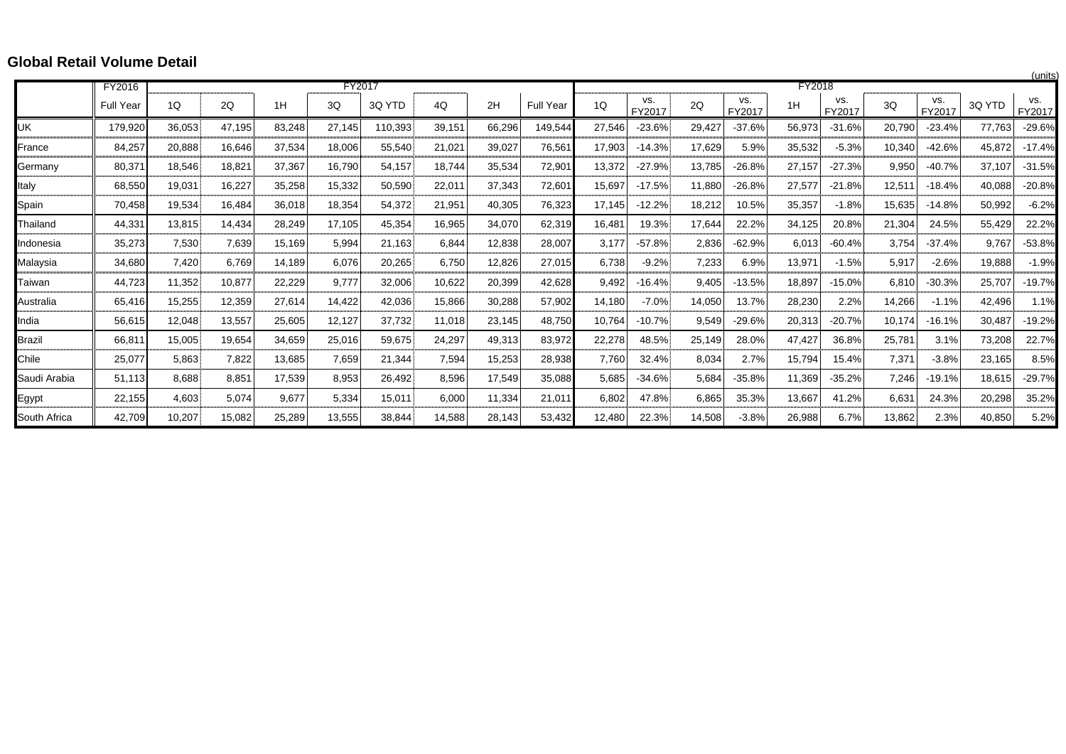## **Global Retail Volume Detail**

|               |                  |        |        |             |        |         |        |        |                  |        |               |        |               |        |               |        |               |        | (units        |
|---------------|------------------|--------|--------|-------------|--------|---------|--------|--------|------------------|--------|---------------|--------|---------------|--------|---------------|--------|---------------|--------|---------------|
|               | FY2016           |        |        |             | FY2017 |         |        |        |                  |        |               |        |               | FY2018 |               |        |               |        |               |
|               | <b>Full Year</b> | 1Q     | 2Q     | 1H          | 3Q     | 3Q YTD  | 4Q     | 2H     | <b>Full Year</b> | 1Q     | VS.<br>FY2017 | 2Q     | VS.<br>FY2017 | 1H     | VS.<br>FY2017 | 3Q     | VS.<br>FY2017 | 3Q YTD | VS.<br>FY2017 |
| UK            | 179,920          | 36,053 | 47,195 | 83,248      | 27,145 | 110,393 | 39,151 | 66,296 | 149,544          | 27,546 | $-23.6%$      | 29,427 | $-37.6%$      | 56,973 | $-31.6%$      | 20,790 | $-23.4%$      | 77,763 | $-29.6%$      |
| France        | 84,257           | 20,888 | 16,646 | 37,534      | 18,006 | 55,540  | 21,021 | 39,027 | 76,561           | 17,903 | $-14.3%$      | 17,629 | 5.9%          | 35,532 | $-5.3%$       | 10,340 | $-42.6%$      | 45,872 | $-17.4%$      |
| Germany       | 80,371           | 18,546 | 18.821 | 37,367      | 16,790 | 54,157  | 18.744 | 35,534 | 72,901           | 13,372 | $-27.9%$      | 13,785 | $-26.8%$      | 27,157 | $-27.3%$      | 9,950  | $-40.7%$      | 37,107 | $-31.5%$      |
| Italy         | 68,550           | 19,031 | 16,227 | 35,258      | 15,332 | 50,590  | 22,011 | 37,343 | 72,601           | 15,697 | $-17.5%$      | 11,880 | $-26.8%$      | 27,577 | $-21.8%$      | 12,511 | $-18.4%$      | 40,088 | $-20.8%$      |
| Spain         | 70,458           | 19,534 | 16,484 | 36,018      | 18,354 | 54,372  | 21,951 | 40,305 | 76,323           | 17,145 | $-12.2%$      | 18,212 | 10.5%         | 35,357 | $-1.8%$       | 15,635 | $-14.8%$      | 50,992 | $-6.2%$       |
| Thailand      | 44,331           | 13.815 | 14,434 | 28,249<br>. | 17,105 | 45,354  | 16,965 | 34.070 | 62,319           | 16,481 | 19.3%         | 17,644 | 22.2%         | 34,125 | 20.8%         | 21,304 | 24.5%         | 55,429 | 22.2%         |
| Indonesia     | 35,273           | 7,530  | 7,639  | 15,169      | 5,994  | 21.163  | 6.844  | 12,838 | 28,007           | 3,177  | $-57.8%$      | 2,836  | $-62.9%$      | 6,013  | $-60.4%$      | 3,754  | -37.4%        | 9.767  | $-53.8%$      |
| Malaysia      | 34,680           | 7,420  | 6.769  | 14,189      | 6,076  | 20,265  | 6.750  | 12,826 | 27,015           | 6,738  | $-9.2%$       | 7,233  | 6.9%          | 13,971 | $-1.5%$       | 5,917  | $-2.6%$       | 19,888 | $-1.9%$       |
| Taiwan        | 44,723           | 11,352 | 10,877 | 22,229<br>. | 9,777  | 32,006  | 10.622 | 20,399 | 42,628           | 9,492  | $-16.4%$      | 9,405  | $-13.5%$      | 18,897 | $-15.0%$      | 6,810  | $-30.3%$      | 25,707 | $-19.7%$<br>. |
| Australia     | 65,416           | 15,255 | 12,359 | 27,614      | 14,422 | 42,036  | 15,866 | 30,288 | 57,902           | 14,180 | $-7.0%$       | 14,050 | 13.7%         | 28,230 | 2.2%          | 14,266 | $-1.1%$       | 42,496 | 1.1%          |
| India         | 56,615           | 12,048 | 13,557 | 25,605      | 12,127 | 37,732  | 11,018 | 23,145 | 48,750           | 10,764 | $-10.7%$      | 9,549  | $-29.6%$      | 20,313 | $-20.7%$      | 10,174 | $-16.1%$      | 30,487 | $-19.2%$      |
| <b>Brazil</b> | 66,811           | 15,005 | 19,654 | 34,659      | 25,016 | 59,675  | 24,297 | 49,313 | 83,972           | 22,278 | 48.5%         | 25,149 | 28.0%         | 47,427 | 36.8%         | 25,781 | 3.1%          | 73,208 | 22.7%         |
| Chile         | 25,077           | 5,863  | 7,822  | 13,685      | 7,659  | 21,344  | 7,594  | 15,253 | 28,938           | 7,760  | 32.4%         | 8,034  | 2.7%          | 15,794 | 15.4%         | 7,371  | $-3.8%$       | 23,165 | 8.5%          |
| Saudi Arabia  | 51.113           | 8.688  | 8.851  | 17,539      | 8,953  | 26,492  | 8,596  | 17,549 | 35,088           | 5,685  | $-34.6%$      | 5,684  | $-35.8%$      | 11,369 | $-35.2%$      | 7.246  | $-19.1%$      | 18,615 | $-29.7%$      |
| Egypt         | 22,155           | 4,603  | 5,074  | 9,677       | 5,334  | 15,011  | 6,000  | 11,334 | 21,011           | 6,802  | 47.8%         | 6,865  | 35.3%         | 13,667 | 41.2%         | 6,631  | 24.3%         | 20,298 | 35.2%         |
| South Africa  | 42.709           | 10,207 | 15,082 | 25,289      | 13,555 | 38,844  | 14,588 | 28,143 | 53,432           | 12,480 | 22.3%         | 14,508 | $-3.8%$       | 26,988 | 6.7%          | 13,862 | 2.3%          | 40,850 | 5.2%          |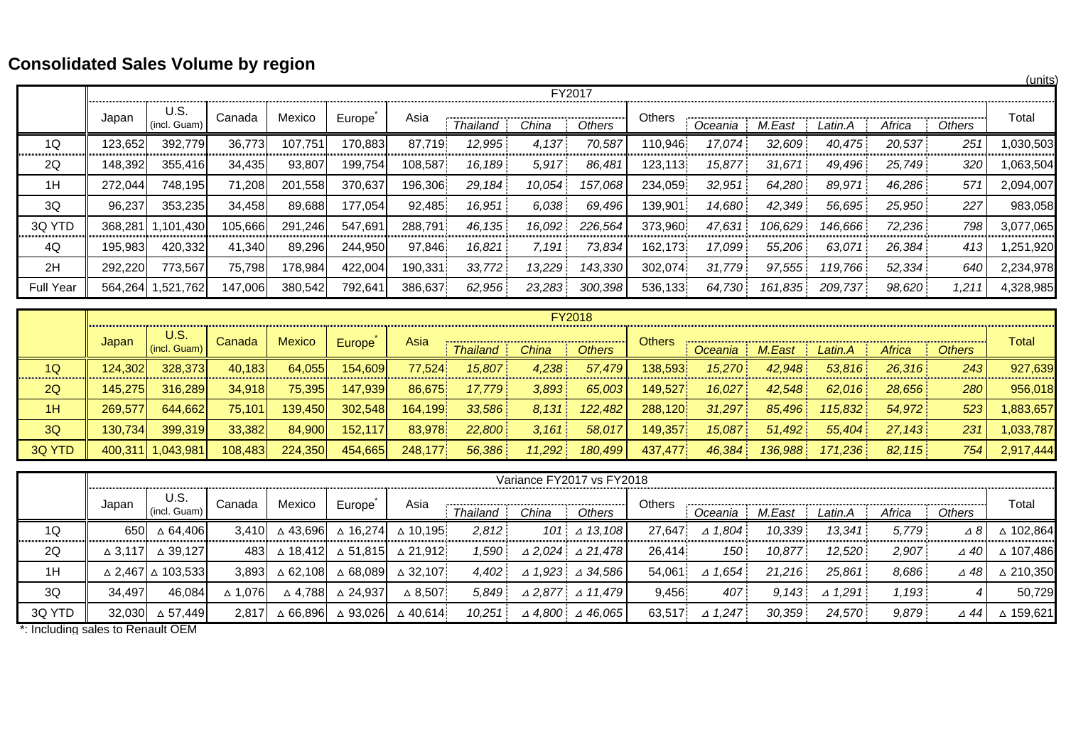## **Consolidated Sales Volume by region**

|                  |         |                      |         |         |         |         |                 |        |         |         |         |         |         |        |                 | (units)   |
|------------------|---------|----------------------|---------|---------|---------|---------|-----------------|--------|---------|---------|---------|---------|---------|--------|-----------------|-----------|
|                  |         |                      |         |         |         |         |                 |        | FY2017  |         |         |         |         |        |                 |           |
|                  | Japan   | U.S.<br>(incl. Guam) | Canada  | Mexico  | Europe  | Asia    | <b>Thailand</b> | China  | Others  | Others  | Oceania | M.East  | Latin.A | Africa | Others          | Total     |
| 1Q               | 123,652 | 392,779              | 36,773  | 107,751 | 170,883 | 87,719  | 12,995          | 4,137  | 70,587  | 110,946 | 17,074  | 32,609  | 40,475  | 20,537 | 251             | 1,030,503 |
| 2Q               | 148,392 | 355,416              | 34,435  | 93,807  | 199,754 | 108,587 | 16,189          | 5,917  | 86,481  | 123,113 | 15,877  | 31,671  | 49,496  | 25,749 | 320             | 1,063,504 |
| 1H               | 272,044 | 748,195              | 71,208  | 201,558 | 370,637 | 196,306 | 29,184          | 10,054 | 157,068 | 234,059 | 32,951  | 64,280  | 89,971  | 46,286 | 57 <sup>°</sup> | 2,094,007 |
| 3Q               | 96,237  | 353,235              | 34,458  | 89,688  | 177,054 | 92,485  | 16,951          | 6,038  | 69,496  | 139,901 | 14,680  | 42,349  | 56,695  | 25,950 | 227             | 983,058   |
| 3Q YTD           | 368,281 | 101,430              | 105,666 | 291,246 | 547,691 | 288,791 | 46,135          | 16,092 | 226,564 | 373,960 | 47,631  | 106,629 | 146,666 | 72,236 | 798             | 3,077,065 |
| 4Q               | 195,983 | 420,332              | 41,340  | 89,296  | 244,950 | 97,846  | 16,821          | 7,191  | 73,834  | 162,173 | 17,099  | 55,206  | 63,071  | 26,384 | 413             | 1,251,920 |
| 2H               | 292,220 | 773,567              | 75,798  | 178,984 | 422,004 | 190,331 | 33,772          | 13,229 | 143,330 | 302,074 | 31,779  | 97,555  | 119,766 | 52,334 | 640             | 2,234,978 |
| <b>Full Year</b> | 564,264 | 1,521,762            | 147,006 | 380,542 | 792,641 | 386,637 | 62,956          | 23,283 | 300,398 | 536,133 | 64,730  | 161,835 | 209,737 | 98,620 | 1,211           | 4,328,985 |

|               |                  |                      |         |               |                |         |                 |        | <b>FY2018</b> |               |                |         |         |        |               |           |
|---------------|------------------|----------------------|---------|---------------|----------------|---------|-----------------|--------|---------------|---------------|----------------|---------|---------|--------|---------------|-----------|
|               | Japan            | U.S.<br>(incl. Guam) | Canada  | <b>Mexico</b> | Europe         | Asia    | <b>Thailand</b> | China  | <b>Others</b> | <b>Others</b> | <b>Oceania</b> | M.East  | Latin.A | Africa | <b>Others</b> | Total     |
| 1Q            | 124.302l         | 328.373              | 40.183  | 64,055        | 154,609        | 77.524  | 15.807          | 4,238  | 57,479        | 138,593       | 15,270         | 42.948  | 53,816  | 26,316 | 243           | 927,639   |
| 2Q            | 145.275 <b>1</b> | 316.289              | 34,918  | 75,395        | 147.939        | 86.675  | 17.779          | 3,893  | 65,003        | 149.527       | 16.027         | 42.548  | 62.016  | 28.656 | 280           | 956,018   |
| 1H            | 269,577          | 644,662              | 75,101  | 139,450       | 302,548        | 164,199 | 33,586          | 8,131  | 122.482       | 288,120       | 31,297         | 85.496  | 115.832 | 54,972 | 523           | ,883,657  |
| 3Q            | 130.734          | 399.319              | 33,382  | 84,900        | <b>152.117</b> | 83.978  | 22,800          | 3,161  | 58,017        | 149.357       | 15.087         | 51.492  | 55.404  | 27.143 | 231           | 1,033,787 |
| <b>3Q YTD</b> |                  | 400,311 1,043,981    | 108,483 | 224,350       | 454,665        | 248,177 | 56,386          | 11,292 | 180,499       | 437,477       | 46,384         | 136.988 | 171.236 | 82.115 | 754           | 2,917,444 |

|        |                   |                                                              |                   |          |          |                    |                 |                   | Variance FY2017 vs FY2018            |        |                   |        |                   |        |                |           |
|--------|-------------------|--------------------------------------------------------------|-------------------|----------|----------|--------------------|-----------------|-------------------|--------------------------------------|--------|-------------------|--------|-------------------|--------|----------------|-----------|
|        | Japan             | U.S.<br>$($ incl. Guam $)$                                   | Canada            | Mexico   | Europe   | Asia               | <b>Thailand</b> | China             | <b>Others</b>                        | Others | Oceania           | M.East | Latin.A           | Africa | <b>Others</b>  | Total     |
| 1Q     | 650I              | △ 64,406                                                     | 3.410             | △ 43,696 | ∆ 16,274 | ∆ 10.195           | 2,812           | 101               | $\triangle$ 13.108                   | 27.647 | $\triangle$ 1.804 | 10,339 | 13.341            | 5,779  | $\triangle$ 8  | △ 102,864 |
| 2Q     | $\triangle$ 3.117 | △ 39.127                                                     | 483I              | ∆ 18.412 | ∆ 51.815 | △ 21.912           | 1.590           | $\triangle 2.024$ | ⊿ 21.478                             | 26.414 | 150               | 10.877 | 12.520            | 2,907  | $\triangle$ 40 | ∆ 107.486 |
| 1H     |                   | $\triangle$ 2.467 $\triangle$ 103.533                        | 3.893             | ∆ 62.108 | ∆ 68.089 | $\triangle$ 32.107 | 4.402           | $\triangle$ 1,923 | $\triangle$ 34.586                   | 54.061 | $\triangle$ 1.654 | 21,216 | 25.861            | 8.686  | $\triangle$ 48 | △ 210.350 |
| 3Q     | 34.497            | 46.084                                                       | $\triangle$ 1.076 | ∆ 4.788  | △ 24.937 | $\triangle$ 8.507  | 5.849           |                   | $\triangle$ 2.877 $\triangle$ 11.479 | 9.456  | 407               | 9.143  | $\triangle$ 1.291 | 1,193  |                | 50.729    |
| 3Q YTD | 32.030            | ∆ 57.449<br>$\sim$ $\sim$ $\sim$ $\sim$ $\sim$ $\sim$ $\sim$ | 2.817             | △ 66,896 | △ 93,026 | $\triangle$ 40.614 | 10,251          | $\triangle$ 4.800 | $\triangle$ 46,065                   | 63,517 | $\triangle$ 1,247 | 30,359 | 24,570            | 9,879  | ⊿ 44           | △ 159,621 |

\*: Including sales to Renault OEM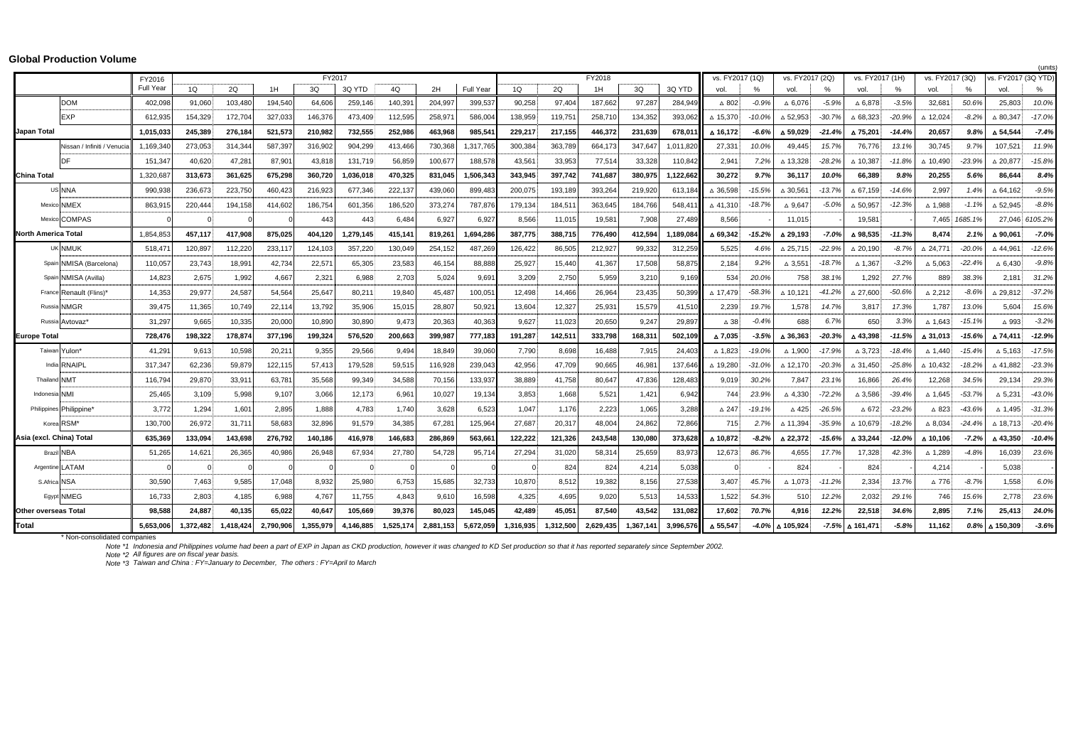|  | <b>Global Production Volume</b> |  |
|--|---------------------------------|--|
|--|---------------------------------|--|

|                            | FY2017<br>FY2018            |           |           |           |           |           |           |           |           |           |           |           |           |           |           | (units)<br>vs. FY2017 (3Q YTD)<br>vs. FY2017 (1Q)<br>vs. FY2017 (2Q)<br>vs. FY2017 (1H)<br>vs. FY2017 (3Q) |               |                    |               |                    |          |                    |               |                    |                |
|----------------------------|-----------------------------|-----------|-----------|-----------|-----------|-----------|-----------|-----------|-----------|-----------|-----------|-----------|-----------|-----------|-----------|------------------------------------------------------------------------------------------------------------|---------------|--------------------|---------------|--------------------|----------|--------------------|---------------|--------------------|----------------|
|                            |                             | FY2016    |           |           |           |           |           |           |           |           |           |           |           |           |           |                                                                                                            |               |                    |               |                    |          |                    |               |                    |                |
|                            |                             | Full Year | 1Q        | 2Q        | 1H        | 3Q        | 3Q YTD    | 4Q        | 2H        | Full Year | 1Q        | 2Q        | 1H        | 3Q        | 3Q YTD    | vol.                                                                                                       | $\frac{0}{2}$ | vol                | $\frac{0}{2}$ | vol.               | %        | vol.               | $\frac{0}{2}$ | vol.               | %              |
|                            | <b>DOM</b>                  | 402,098   | 91,060    | 103,480   | 194,540   | 64,606    | 259,146   | 140,391   | 204,997   | 399,537   | 90,258    | 97,404    | 187,662   | 97,287    | 284,949   | $\Delta$ 802                                                                                               | $-0.99$       | $\triangle$ 6,076  | $-5.9%$       | $\Delta$ 6,878     | $-3.5%$  | 32,681             | 50.6%         | 25,803             | 10.0%          |
|                            | EXP                         | 612,935   | 154,329   | 172,704   | 327,033   | 146,376   | 473,409   | 112,595   | 258,97    | 586,004   | 138,959   | 119,751   | 258,710   | 134,352   | 393,062   | △ 15,370                                                                                                   | $-10.0%$      | $\triangle$ 52,953 | $-30.7%$      | $\Delta$ 68,323    | $-20.9%$ | △ 12,024           | $-8.2%$       | △ 80,347           | $-17.0%$       |
| <b>Japan Total</b>         |                             | 1.015.033 | 245.389   | 276.184   | 521.573   | 210.982   | 732.555   | 252.986   | 463.968   | 985.54    | 229.217   | 217.155   | 446.372   | 231.639   | 678.011   | △ 16.172                                                                                                   | $-6.6%$       | △ 59.029           | $-21.49$      | △ 75.201           | $-14.4%$ | 20.657             | 9.8%          | △ 54,544           | $-7.4%$        |
|                            | Nissan / Infiniti / Venucia | 1,169,34  | 273,053   | 314,344   | 587.397   | 316,902   | 904,299   | 413,466   | 730,368   | 1,317,765 | 300,384   | 363,789   | 664,173   | 347.64    | 1,011,82  | 27,331                                                                                                     | 10.0%         | 49.445             | 15.7%         | 76,776             | 13.1%    | 30,745             | 9.7%          | 107,521            | 11.9%          |
|                            |                             | 151,347   | 40,620    | 47,281    | 87,901    | 43,818    | 131,719   | 56,859    | 100,677   | 188,578   | 43,561    | 33,953    | 77,514    | 33,328    | 110,842   | 2,941                                                                                                      | 7.2%          | △ 13,328           | $-28.2%$      | △ 10,387           | $-11.8%$ | △ 10,490           | $-23.9%$      | △ 20,877           | $-15.8%$       |
| <b>China Total</b>         |                             | 1,320,68  | 313,673   | 361,625   | 675.298   | 360.720   | 1,036,018 | 470,325   | 831.04    | 1,506,343 | 343,945   | 397,742   | 741,68    | 380.97    | 1,122,66  | 30,272                                                                                                     | 9.7%          | 36,117             | 10.0%         | 66,389             | 9.8%     | 20,255             | 5.6%          | 86,644             | 8.4%           |
|                            | US NNA                      | 990,938   | 236,673   | 223,750   | 460,42    | 216,923   | 677.346   | 222,137   | 439,060   | 899,483   | 200,075   | 193.189   | 393,264   | 219.92    | 613,184   | △ 36,598                                                                                                   | $-15.5%$      | $\triangle$ 30,561 | $-13.79$      | $\triangle$ 67.159 | $-14.6%$ | 2,997              | 1.4%          | $\triangle$ 64.162 | $-9.5%$        |
|                            | Mexico NMEX                 | 863,91    | 220,444   | 194,158   | 414,602   | 186,754   | 601,356   | 186,520   | 373,274   | 787,876   | 179,134   | 184,511   | 363,645   | 184,766   | 548,41    | △41,310                                                                                                    | $-18.7%$      | $\Delta$ 9,647     | $-5.0%$       | $\triangle$ 50,957 | $-12.3%$ | △ 1,988            | $-1.19$       | △ 52,945           | $-8.8%$        |
|                            | Mexico COMPAS               |           |           |           |           | 443       | 443       | 6,484     | 6,927     | 6,927     | 8,566     | 11,015    | 19,58'    | 7,908     | 27,489    | 8,566                                                                                                      |               | 11,015             |               | 19,58'             |          | 7,465              | 1685.1%       |                    | 27,046 6105.2% |
| <b>North America Total</b> |                             | 1,854,85  | 457.117   | 417,908   | 875.025   | 404,120   | 1,279,145 | 415,141   | 819,26    | 1,694,286 | 387,775   | 388,715   | 776,490   | 412,594   | 1,189,084 | △ 69,342                                                                                                   | $-15.2%$      | △ 29,193           | $-7.0%$       | △98,535            | $-11.3%$ | 8,474              | 2.1%          | △ 90,061           | $-7.0%$        |
|                            | <b>UK NMUK</b>              | 518,47    | 120,897   | 112,220   | 233,11    | 124.103   | 357.220   | 130,049   | 254.152   | 487,269   | 126,422   | 86,505    | 212,927   | 99.332    | 312,259   | 5,525                                                                                                      | 4.6%          | $\triangle 25,715$ | $-22.99$      | $\triangle$ 20.190 | $-8.7%$  | $\triangle 24.77'$ | $-20.09$      | △44.961            | $-12.6%$       |
|                            | Spain NMISA (Barcelona)     | 110,057   | 23,743    | 18,99'    | 42,734    | 22,571    | 65,305    | 23,583    | 46,154    | 88,888    | 25,927    | 15,440    | 41,367    | 17,508    | 58,875    | 2,184                                                                                                      | 9.2%          | $\triangle$ 3,551  | $-18.79$      | △ 1,367            | $-3.2%$  | $\Delta$ 5,063     | $-22.4%$      | $\triangle$ 6,430  | $-9.8%$        |
|                            | Spain NMISA (Avilla)        | 14,823    | 2,675     | 1,992     | 4,667     | 2,321     | 6,988     | 2,703     | 5,024     | 9,691     | 3,209     | 2,750     | 5,959     | 3,210     | 9,169     | 534                                                                                                        | 20.0%         | 758                | 38.19         | 1,292              | 27.7%    | 889                | 38.3%         | 2,181              | 31.2%          |
|                            | France Renault (Flins)*     | 14,353    | 29,977    | 24,587    | 54,564    | 25,647    | 80,211    | 19,840    | 45,48     | 100,05'   | 12,498    | 14,466    | 26,964    | 23,435    | 50,399    | △ 17,479                                                                                                   | $-58.3%$      | △ 10,121           | $-41.2%$      | $\triangle$ 27,600 | $-50.6%$ | $\triangle$ 2,212  | $-8.69$       | △ 29,812           | $-37.2%$       |
|                            | Russia NMGR                 | 39,475    | 11,365    | 10,749    | 22,114    | 13,792    | 35,906    | 15,015    | 28,807    | 50,92'    | 13,604    | 12,327    | 25,93'    | 15,579    | 41,510    | 2,239                                                                                                      | 19.7%         | 1,578              | 14.7%         | 3,817              | 17.3%    | 1,787              | 13.0%         | 5,604              | 15.6%          |
|                            | Russia Avtovaz'             | 31,297    | 9,665     | 10,335    | 20,000    | 10,890    | 30,890    | 9,473     | 20,363    | 40,363    | 9,627     | 11,023    | 20,650    | 9,247     | 29,897    | $\triangle$ 38                                                                                             | $-0.4%$       | 688                | 6.7%          | 650                | 3.3%     | △ 1,643            | $-15.1%$      | $\triangle$ 993    | $-3.2%$        |
| <b>Europe Total</b>        |                             | 728,476   | 198,322   | 178,874   | 377,196   | 199,324   | 576,520   | 200,663   | 399,987   | 777,183   | 191,287   | 142,511   | 333,798   | 168,31    | 502,109   | △7,035                                                                                                     | $-3.5%$       | △ 36,363           | $-20.3%$      | △ 43,398           | $-11.5%$ | △ 31,013           | $-15.69$      | △74.411            | $-12.9%$       |
|                            | Taiwan Yulon'               | 41,29'    | 9,613     | 10,598    | 20,21     | 9,355     | 29,566    | 9,494     | 18,849    | 39,060    | 7,790     | 8,698     | 16,488    | 7,91      | 24,403    | △ 1,823                                                                                                    | $-19.0%$      | $\triangle$ 1,900  | $-17.99$      | $\triangle$ 3,723  | $-18.4%$ | △ 1,440            | $-15.4%$      | $\Delta$ 5,163     | $-17.5%$       |
|                            | India RNAIPL                | 317,34    | 62,236    | 59,879    | 122,115   | 57,413    | 179,528   | 59,515    | 116,928   | 239,043   | 42,956    | 47,709    | 90,665    | 46,98     | 137,646   | △ 19.280                                                                                                   | $-31.0%$      | △ 12,170           | $-20.39$      | $\triangle$ 31.450 | $-25.8%$ | △ 10,432           | $-18.29$      | △ 41,882           | $-23.3%$       |
| <b>Thailand NMT</b>        |                             | 116,794   | 29,870    | 33,91     | 63,781    | 35,568    | 99,349    | 34,588    | 70,156    | 133,937   | 38,889    | 41,758    | 80,647    | 47,836    | 128,483   | 9,019                                                                                                      | 30.2%         | 7,847              | 23.19         | 16,866             | 26.4%    | 12,268             | 34.5%         | 29,134             | 29.3%          |
| Indonesia NMI              |                             | 25,465    | 3,109     | 5,998     | 9,107     | 3,066     | 12,173    | 6,961     | 10,027    | 19,134    | 3,853     | 1,668     | 5,521     | 1,421     | 6,942     | 744                                                                                                        | 23.9%         | $\Delta$ 4,330     | $-72.29$      | $\Delta$ 3,586     | $-39.4%$ | △ 1,645            | $-53.7%$      | $\Delta$ 5,231     | $-43.0%$       |
|                            | Philippines Philippine'     | 3,772     | 1,294     | 1,60'     | 2,895     | 1,888     | 4,783     | 1.740     | 3,628     | 6,523     | 1,047     | 1,176     | 2,223     | 1,065     | 3,288     | $\Delta$ 247                                                                                               | $-19.1%$      | $\triangle$ 425    | $-26.5%$      | $\triangle$ 672    | $-23.2%$ | △ 823              | $-43.69$      | $\triangle$ 1.495: | $-31.3%$       |
|                            | Korea RSM*                  | 130,700   | 26,972    | 31,71'    | 58,683    | 32,896    | 91,579    | 34,385    | 67,28     | 125,964   | 27,687    | 20,317    | 48,004    | 24,862    | 72,866    | 715                                                                                                        | 2.7%          | △ 11,394           | $-35.9%$      | △ 10,679           | $-18.2%$ | $\Delta$ 8,034     | $-24.4%$      | $\triangle$ 18,713 | $-20.4%$       |
| Asia (excl. China) Total   |                             | 635,369   | 133,094   | 143,698   | 276,792   | 140,186   | 416,978   | 146,683   | 286,869   | 563,66    | 122,222   | 121,326   | 243,548   | 130,080   | 373,628   | △ 10,872                                                                                                   | $-8.2%$       | △ 22,372           | $-15.69$      | △ 33,244           | $-12.0%$ | △ 10,106           | $-7.2%$       | △ 43,350           | $-10.4%$       |
|                            | <b>Brazil NBA</b>           | 51,265    | 14,621    | 26,365    | 40,986    | 26,948    | 67,934    | 27,780    | 54,728    | 95,71     | 27,294    | 31,020    | 58,31     | 25,65     | 83,973    | 12,673                                                                                                     | 86.7%         | 4,655              | 17.7%         | 17,328             | 42.3%    | $\triangle$ 1,289  | $-4.8%$       | 16,039             | 23.6%          |
|                            | Argentine LATAM             |           |           |           |           |           |           |           |           |           |           | 824       | 824       | 4,214     | 5,038     |                                                                                                            |               | 824                |               | 824                |          | 4,214              |               | 5,038              |                |
| S.Africa NSA               |                             | 30,590    | 7,463     | 9,585     | 17,048    | 8,932     | 25,980    | 6,753     | 15,685    | 32,733    | 10,870    | 8,512     | 19,382    | 8,156     | 27,538    | 3,407                                                                                                      | 45.7%         | △ 1,073            | $-11.2%$      | 2,334              | 13.7%    | △776               | $-8.7%$       | 1,558              | 6.0%           |
|                            | Egypt NMEG                  | 16,733    | 2,803     | 4,185     | 6,988     | 4,767     | 11,755    | 4,843     | 9,610     | 16,598    | 4,325     | 4,695     | 9,020     | 5,51      | 14,533    | 1,522                                                                                                      | 54.3%         | 510                | 12.2%         | 2,032              | 29.1%    | 746                | 15.6%         | 2,778              | 23.6%          |
| Other overseas Total       |                             | 98,588    | 24,887    | 40,135    | 65,022    | 40,647    | 105,669   | 39,376    | 80,023    | 145,045   | 42,489    | 45,051    | 87,540    | 43,542    | 131,082   | 17,602                                                                                                     | 70.7%         | 4,916              | 12.2%         | 22,518             | 34.6%    | 2,895              | 7.1%          | 25,413             | 24.0%          |
| <b>Total</b>               |                             | 5,653,006 | 1,372,482 | 1,418,424 | 2,790,906 | 1,355,979 | 4,146,885 | 1,525,174 | 2,881,153 | 5,672,059 | 1,316,935 | 1,312,500 | 2,629,435 | 1,367,141 | 3,996,576 | △ 55,547                                                                                                   | $-4.0%$       | △ 105,924          | $-7.5%$       | 161,471∆           | $-5.8%$  | 11,162             | 0.8%          | △ 150,309          | $-3.6%$        |
|                            | * Non concolidated a        |           |           |           |           |           |           |           |           |           |           |           |           |           |           |                                                                                                            |               |                    |               |                    |          |                    |               |                    |                |

\* Non-consolidated companies *Note \*1 Note \*2 Note \*3 Taiwan and China : FY=January to December, The others : FY=April to March* Indonesia and Philippines volume had been a part of EXP in Japan as CKD production, however it was changed to KD Set production so that it has reported separately since September 2002.<br>All figures are on fiscal year basis.